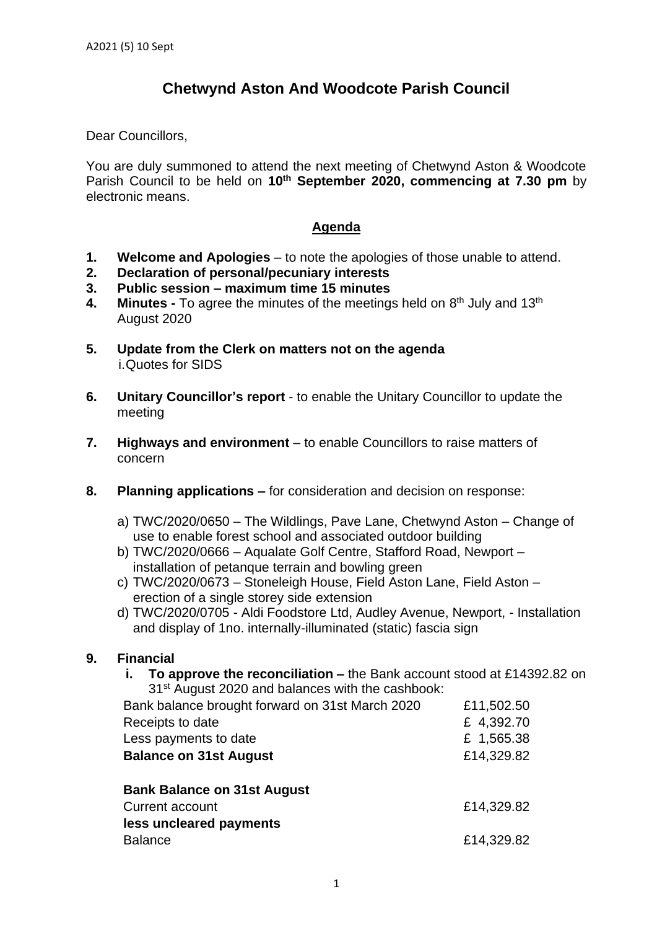## **Chetwynd Aston And Woodcote Parish Council**

Dear Councillors,

You are duly summoned to attend the next meeting of Chetwynd Aston & Woodcote Parish Council to be held on **10th September 2020, commencing at 7.30 pm** by electronic means.

## **Agenda**

- **1. Welcome and Apologies** to note the apologies of those unable to attend.
- **2. Declaration of personal/pecuniary interests**
- **3. Public session – maximum time 15 minutes**
- 4. Minutes To agree the minutes of the meetings held on 8<sup>th</sup> July and 13<sup>th</sup> August 2020
- **5. Update from the Clerk on matters not on the agenda** i.Quotes for SIDS
- **6. Unitary Councillor's report** to enable the Unitary Councillor to update the meeting
- **7. Highways and environment** to enable Councillors to raise matters of concern
- **8. Planning applications –** for consideration and decision on response:
	- a) TWC/2020/0650 The Wildlings, Pave Lane, Chetwynd Aston Change of use to enable forest school and associated outdoor building
	- b) TWC/2020/0666 Aqualate Golf Centre, Stafford Road, Newport installation of petanque terrain and bowling green
	- c) TWC/2020/0673 Stoneleigh House, Field Aston Lane, Field Aston erection of a single storey side extension
	- d) TWC/2020/0705 Aldi Foodstore Ltd, Audley Avenue, Newport, Installation and display of 1no. internally-illuminated (static) fascia sign

## **9. Financial**

**i. To approve the reconciliation –** the Bank account stood at £14392.82 on 31<sup>st</sup> August 2020 and balances with the cashbook:

| Bank balance brought forward on 31st March 2020 | £11,502.50 |
|-------------------------------------------------|------------|
| Receipts to date                                | £ 4,392.70 |
| Less payments to date                           | £ 1,565.38 |
| <b>Balance on 31st August</b>                   | £14,329.82 |
| <b>Bank Balance on 31st August</b>              |            |
| <b>Current account</b>                          | £14,329.82 |
| less uncleared payments                         |            |
| <b>Balance</b>                                  | £14,329.82 |
|                                                 |            |